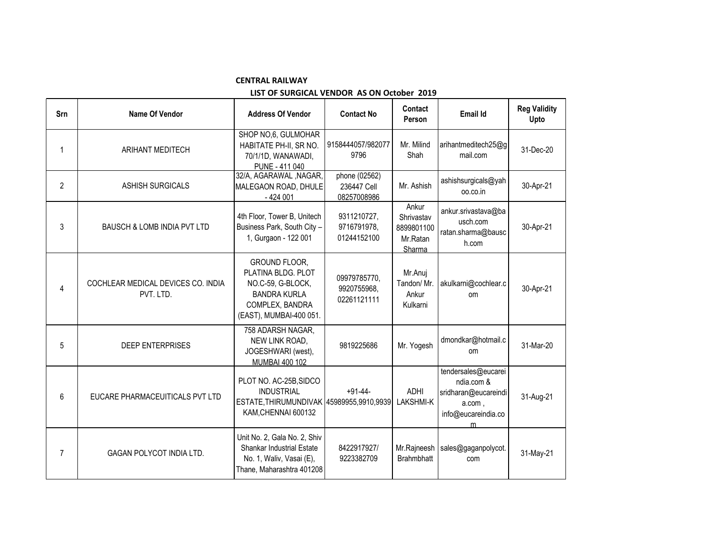## **CENTRAL RAILWAY**

## **LIST OF SURGICAL VENDOR AS ON October 2019**

| Srn            | Name Of Vendor                                  | <b>Address Of Vendor</b>                                                                                                      | <b>Contact No</b>                           | Contact<br>Person                                       | <b>Email Id</b>                                                                                 | <b>Reg Validity</b><br>Upto |
|----------------|-------------------------------------------------|-------------------------------------------------------------------------------------------------------------------------------|---------------------------------------------|---------------------------------------------------------|-------------------------------------------------------------------------------------------------|-----------------------------|
| 1              | ARIHANT MEDITECH                                | SHOP NO,6, GULMOHAR<br>HABITATE PH-II, SR NO.<br>70/1/1D, WANAWADI,<br>PUNE - 411 040                                         | 9158444057/982077<br>9796                   | Mr. Milind<br>Shah                                      | arihantmeditech25@g<br>mail.com                                                                 | 31-Dec-20                   |
| $\overline{2}$ | <b>ASHISH SURGICALS</b>                         | 32/A, AGARAWAL, NAGAR,<br>MALEGAON ROAD, DHULE<br>$-424001$                                                                   | phone (02562)<br>236447 Cell<br>08257008986 | Mr. Ashish                                              | ashishsurgicals@yah<br>oo.co.in                                                                 | 30-Apr-21                   |
| 3              | <b>BAUSCH &amp; LOMB INDIA PVT LTD</b>          | 4th Floor, Tower B, Unitech<br>Business Park, South City -<br>1, Gurgaon - 122 001                                            | 9311210727,<br>9716791978,<br>01244152100   | Ankur<br>Shrivastav<br>8899801100<br>Mr.Ratan<br>Sharma | ankur.srivastava@ba<br>usch.com<br>ratan.sharma@bausc<br>h.com                                  | 30-Apr-21                   |
| 4              | COCHLEAR MEDICAL DEVICES CO. INDIA<br>PVT. LTD. | GROUND FLOOR,<br>PLATINA BLDG. PLOT<br>NO.C-59, G-BLOCK,<br><b>BANDRA KURLA</b><br>COMPLEX, BANDRA<br>(EAST), MUMBAI-400 051. | 09979785770,<br>9920755968,<br>02261121111  | Mr.Anuj<br>Tandon/ Mr.<br>Ankur<br>Kulkarni             | akulkarni@cochlear.c<br>om                                                                      | 30-Apr-21                   |
| 5              | <b>DEEP ENTERPRISES</b>                         | 758 ADARSH NAGAR,<br>NEW LINK ROAD,<br>JOGESHWARI (west),<br><b>MUMBAI 400 102</b>                                            | 9819225686                                  | Mr. Yogesh                                              | dmondkar@hotmail.c<br>om                                                                        | 31-Mar-20                   |
| 6              | EUCARE PHARMACEUITICALS PVT LTD                 | PLOT NO. AC-25B, SIDCO<br><b>INDUSTRIAL</b><br>ESTATE, THIRUMUNDIVAK 45989955,9910,9939<br>KAM, CHENNAI 600132                | $+91-44-$                                   | <b>ADHI</b><br><b>LAKSHMI-K</b>                         | tendersales@eucarei<br>ndia.com &<br>sridharan@eucareindi<br>a.com,<br>info@eucareindia.co<br>m | 31-Aug-21                   |
| 7              | GAGAN POLYCOT INDIA LTD.                        | Unit No. 2, Gala No. 2, Shiv<br><b>Shankar Industrial Estate</b><br>No. 1, Waliv, Vasai (E),<br>Thane, Maharashtra 401208     | 8422917927/<br>9223382709                   | Mr.Rajneesh<br><b>Brahmbhatt</b>                        | sales@gaganpolycot.<br>com                                                                      | 31-May-21                   |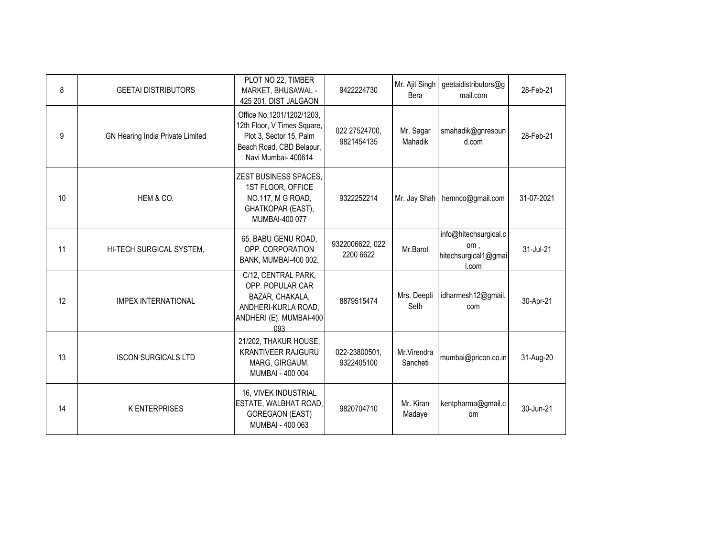| 8  | <b>GEETAI DISTRIBUTORS</b>       | PLOT NO 22, TIMBER<br>MARKET, BHUSAWAL -<br>425 201, DIST JALGAON                                                                      | 9422224730                   | Mr. Ajit Singh<br>Bera  | geetaidistributors@g<br>mail.com                              | 28-Feb-21  |
|----|----------------------------------|----------------------------------------------------------------------------------------------------------------------------------------|------------------------------|-------------------------|---------------------------------------------------------------|------------|
| 9  | GN Hearing India Private Limited | Office No.1201/1202/1203,<br>12th Floor, V Times Square,<br>Plot 3, Sector 15, Palm<br>Beach Road, CBD Belapur,<br>Navi Mumbai- 400614 | 022 27524700,<br>9821454135  | Mr. Sagar<br>Mahadik    | smahadik@gnresoun<br>d.com                                    | 28-Feb-21  |
| 10 | HEM & CO.                        | <b>ZEST BUSINESS SPACES,</b><br>1ST FLOOR, OFFICE<br>NO.117, M G ROAD,<br>GHATKOPAR (EAST),<br>MUMBAI-400 077                          | 9322252214                   |                         | Mr. Jay Shah   hemnco@gmail.com                               | 31-07-2021 |
| 11 | HI-TECH SURGICAL SYSTEM,         | 65, BABU GENU ROAD,<br>OPP. CORPORATION<br>BANK, MUMBAI-400 002.                                                                       | 9322006622, 022<br>2200 6622 | Mr.Barot                | info@hitechsurgical.c<br>om,<br>hitechsurgical1@gmai<br>l.com | 31-Jul-21  |
| 12 | <b>IMPEX INTERNATIONAL</b>       | C/12, CENTRAL PARK,<br>OPP. POPULAR CAR<br>BAZAR, CHAKALA,<br>ANDHERI-KURLA ROAD,<br>ANDHERI (E), MUMBAI-400<br>093                    | 8879515474                   | Mrs. Deepti<br>Seth     | idharmesh12@gmail.<br>com                                     | 30-Apr-21  |
| 13 | <b>ISCON SURGICALS LTD</b>       | 21/202, THAKUR HOUSE,<br><b>KRANTIVEER RAJGURU</b><br>MARG, GIRGAUM,<br>MUMBAI - 400 004                                               | 022-23800501,<br>9322405100  | Mr.Virendra<br>Sancheti | mumbai@pricon.co.in                                           | 31-Aug-20  |
| 14 | <b>K ENTERPRISES</b>             | 16, VIVEK INDUSTRIAL<br>ESTATE, WALBHAT ROAD,<br><b>GOREGAON (EAST)</b><br>MUMBAI - 400 063                                            | 9820704710                   | Mr. Kiran<br>Madaye     | kentpharma@gmail.c<br><b>om</b>                               | 30-Jun-21  |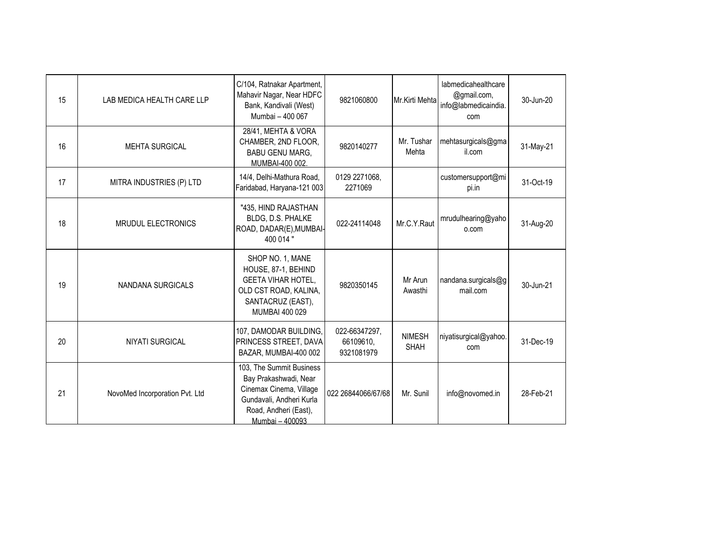| 15 | LAB MEDICA HEALTH CARE LLP     | C/104, Ratnakar Apartment,<br>Mahavir Nagar, Near HDFC<br>Bank, Kandivali (West)<br>Mumbai - 400 067                                                 | 9821060800                               | Mr.Kirti Mehta               | labmedicahealthcare<br>@gmail.com,<br>info@labmedicaindia.<br>com | 30-Jun-20 |
|----|--------------------------------|------------------------------------------------------------------------------------------------------------------------------------------------------|------------------------------------------|------------------------------|-------------------------------------------------------------------|-----------|
| 16 | <b>MEHTA SURGICAL</b>          | 28/41, MEHTA & VORA<br>CHAMBER, 2ND FLOOR,<br><b>BABU GENU MARG,</b><br>MUMBAI-400 002.                                                              | 9820140277                               | Mr. Tushar<br>Mehta          | mehtasurgicals@gma<br>il.com                                      | 31-May-21 |
| 17 | MITRA INDUSTRIES (P) LTD       | 14/4, Delhi-Mathura Road,<br>Faridabad, Haryana-121 003                                                                                              | 0129 2271068,<br>2271069                 |                              | customersupport@mi<br>pi.in                                       | 31-Oct-19 |
| 18 | <b>MRUDUL ELECTRONICS</b>      | "435, HIND RAJASTHAN<br>BLDG, D.S. PHALKE<br>ROAD, DADAR(E), MUMBAI-<br>400 014 "                                                                    | 022-24114048                             | Mr.C.Y.Raut                  | mrudulhearing@yaho<br>o.com                                       | 31-Aug-20 |
| 19 | NANDANA SURGICALS              | SHOP NO. 1, MANE<br>HOUSE, 87-1, BEHIND<br><b>GEETA VIHAR HOTEL,</b><br>OLD CST ROAD, KALINA,<br>SANTACRUZ (EAST),<br>MUMBAI 400 029                 | 9820350145                               | Mr Arun<br>Awasthi           | nandana.surgicals@g<br>mail.com                                   | 30-Jun-21 |
| 20 | <b>NIYATI SURGICAL</b>         | 107, DAMODAR BUILDING,<br>PRINCESS STREET, DAVA<br>BAZAR, MUMBAI-400 002                                                                             | 022-66347297,<br>66109610,<br>9321081979 | <b>NIMESH</b><br><b>SHAH</b> | niyatisurgical@yahoo.<br>com                                      | 31-Dec-19 |
| 21 | NovoMed Incorporation Pvt. Ltd | 103, The Summit Business<br>Bay Prakashwadi, Near<br>Cinemax Cinema, Village<br>Gundavali, Andheri Kurla<br>Road, Andheri (East),<br>Mumbai - 400093 | 022 26844066/67/68                       | Mr. Sunil                    | info@novomed.in                                                   | 28-Feb-21 |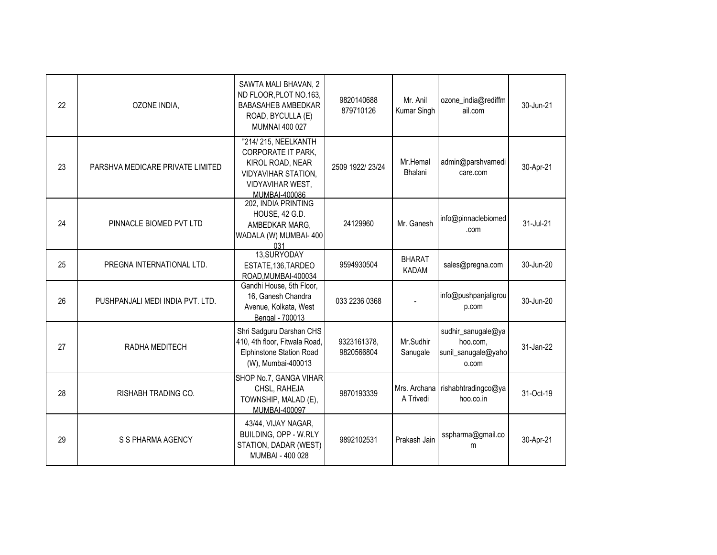| 22 | OZONE INDIA,                     | SAWTA MALI BHAVAN, 2<br>ND FLOOR, PLOT NO.163,<br><b>BABASAHEB AMBEDKAR</b><br>ROAD, BYCULLA (E)<br><b>MUMNAI 400 027</b>                      | 9820140688<br>879710126   | Mr. Anil<br>Kumar Singh       | ozone_india@rediffm<br>ail.com                                 | 30-Jun-21 |
|----|----------------------------------|------------------------------------------------------------------------------------------------------------------------------------------------|---------------------------|-------------------------------|----------------------------------------------------------------|-----------|
| 23 | PARSHVA MEDICARE PRIVATE LIMITED | "214/215, NEELKANTH<br><b>CORPORATE IT PARK,</b><br>KIROL ROAD, NEAR<br><b>VIDYAVIHAR STATION,</b><br><b>VIDYAVIHAR WEST,</b><br>MUMBAI-400086 | 2509 1922/ 23/24          | Mr.Hemal<br>Bhalani           | admin@parshvamedi<br>care.com                                  | 30-Apr-21 |
| 24 | PINNACLE BIOMED PVT LTD          | 202, INDIA PRINTING<br>HOUSE, 42 G.D.<br>AMBEDKAR MARG,<br>WADALA (W) MUMBAI- 400<br>031                                                       | 24129960                  | Mr. Ganesh                    | info@pinnaclebiomed<br>.com                                    | 31-Jul-21 |
| 25 | PREGNA INTERNATIONAL LTD.        | 13,SURYODAY<br>ESTATE, 136, TARDEO<br>ROAD, MUMBAI-400034                                                                                      | 9594930504                | <b>BHARAT</b><br><b>KADAM</b> | sales@pregna.com                                               | 30-Jun-20 |
| 26 | PUSHPANJALI MEDI INDIA PVT. LTD. | Gandhi House, 5th Floor,<br>16, Ganesh Chandra<br>Avenue, Kolkata, West<br>Bengal - 700013                                                     | 033 2236 0368             |                               | info@pushpanjaligrou<br>p.com                                  | 30-Jun-20 |
| 27 | RADHA MEDITECH                   | Shri Sadguru Darshan CHS<br>410, 4th floor, Fitwala Road,<br><b>Elphinstone Station Road</b><br>(W), Mumbai-400013                             | 9323161378,<br>9820566804 | Mr.Sudhir<br>Sanugale         | sudhir_sanugale@ya<br>hoo.com,<br>sunil_sanugale@yaho<br>o.com | 31-Jan-22 |
| 28 | RISHABH TRADING CO.              | SHOP No.7, GANGA VIHAR<br>CHSL, RAHEJA<br>TOWNSHIP, MALAD (E),<br>MUMBAI-400097                                                                | 9870193339                | Mrs. Archana<br>A Trivedi     | rishabhtradingco@ya<br>hoo.co.in                               | 31-Oct-19 |
| 29 | S S PHARMA AGENCY                | 43/44, VIJAY NAGAR,<br>BUILDING, OPP - W.RLY<br>STATION, DADAR (WEST)<br>MUMBAI - 400 028                                                      | 9892102531                | Prakash Jain                  | sspharma@gmail.co<br>m                                         | 30-Apr-21 |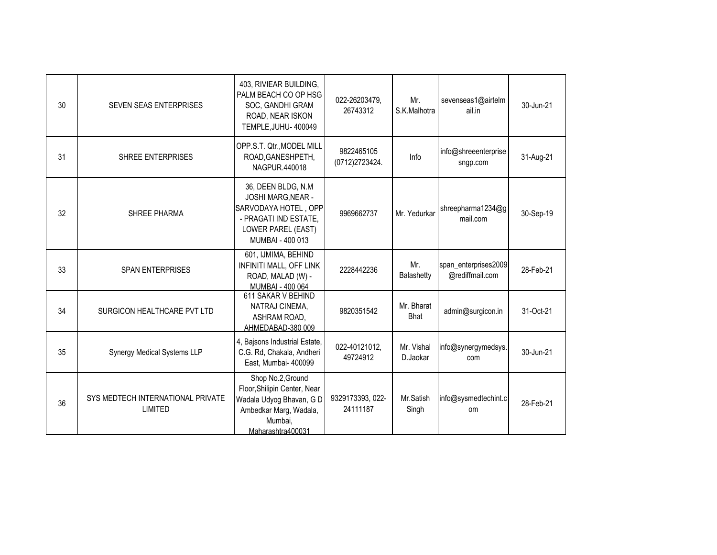| 30 | SEVEN SEAS ENTERPRISES                       | 403, RIVIEAR BUILDING,<br>PALM BEACH CO OP HSG<br>SOC, GANDHI GRAM<br>ROAD, NEAR ISKON<br>TEMPLE, JUHU- 400049                              | 022-26203479,<br>26743312    | Mr.<br>S.K.Malhotra    | sevenseas1@airtelm<br>ail.in            | 30-Jun-21 |
|----|----------------------------------------------|---------------------------------------------------------------------------------------------------------------------------------------------|------------------------------|------------------------|-----------------------------------------|-----------|
| 31 | SHREE ENTERPRISES                            | OPP.S.T. Qtr., MODEL MILL<br>ROAD, GANESHPETH,<br>NAGPUR.440018                                                                             | 9822465105<br>(0712)2723424. | Info                   | info@shreeenterprise<br>sngp.com        | 31-Aug-21 |
| 32 | <b>SHREE PHARMA</b>                          | 36, DEEN BLDG, N.M.<br><b>JOSHI MARG, NEAR -</b><br>SARVODAYA HOTEL, OPP<br>- PRAGATI IND ESTATE,<br>LOWER PAREL (EAST)<br>MUMBAI - 400 013 | 9969662737                   | Mr. Yedurkar           | shreepharma1234@g<br>mail.com           | 30-Sep-19 |
| 33 | <b>SPAN ENTERPRISES</b>                      | 601, IJMIMA, BEHIND<br>INFINITI MALL, OFF LINK<br>ROAD, MALAD (W) -<br>MUMBAI - 400 064                                                     | 2228442236                   | Mr.<br>Balashetty      | span_enterprises2009<br>@rediffmail.com | 28-Feb-21 |
| 34 | SURGICON HEALTHCARE PVT LTD                  | 611 SAKAR V BEHIND<br>NATRAJ CINEMA,<br>ASHRAM ROAD,<br>AHMEDABAD-380 009                                                                   | 9820351542                   | Mr. Bharat<br>Bhat     | admin@surgicon.in                       | 31-Oct-21 |
| 35 | <b>Synergy Medical Systems LLP</b>           | 4, Bajsons Industrial Estate,<br>C.G. Rd, Chakala, Andheri<br>East, Mumbai- 400099                                                          | 022-40121012,<br>49724912    | Mr. Vishal<br>D.Jaokar | info@synergymedsys.<br>com              | 30-Jun-21 |
| 36 | SYS MEDTECH INTERNATIONAL PRIVATE<br>LIMITED | Shop No.2, Ground<br>Floor, Shilipin Center, Near<br>Wadala Udyog Bhavan, G D<br>Ambedkar Marg, Wadala,<br>Mumbai,<br>Maharashtra400031     | 9329173393, 022-<br>24111187 | Mr.Satish<br>Singh     | info@sysmedtechint.c<br>om              | 28-Feb-21 |